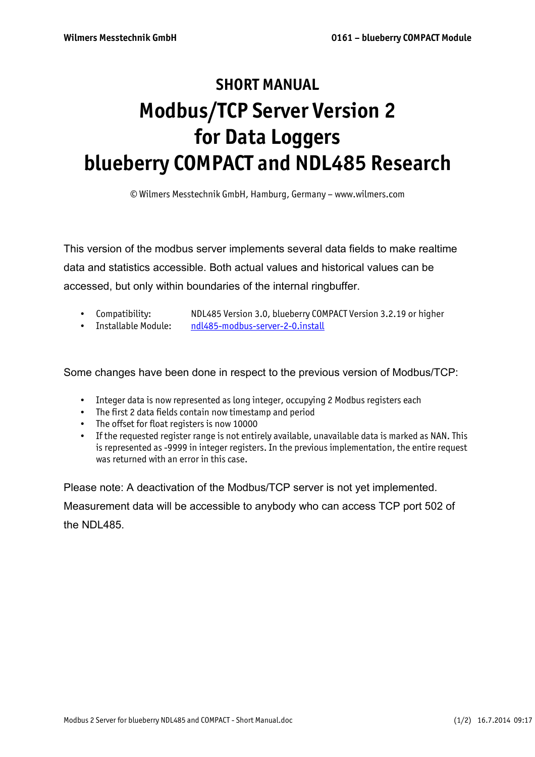## **SHORT MANUAL Modbus/TCP Server Version 2 for Data Loggers blueberry COMPACT and NDL485 Research**

© Wilmers Messtechnik GmbH, Hamburg, Germany – www.wilmers.com

This version of the modbus server implements several data fields to make realtime data and statistics accessible. Both actual values and historical values can be accessed, but only within boundaries of the internal ringbuffer.

- Compatibility: NDL485 Version 3.0, blueberry COMPACT Version 3.2.19 or higher
- Installable Module: ndl485-modbus-server-2-0.install

Some changes have been done in respect to the previous version of Modbus/TCP:

- Integer data is now represented as long integer, occupying 2 Modbus registers each
- The first 2 data fields contain now timestamp and period
- The offset for float registers is now 10000
- If the requested register range is not entirely available, unavailable data is marked as NAN. This is represented as -9999 in integer registers. In the previous implementation, the entire request was returned with an error in this case.

Please note: A deactivation of the Modbus/TCP server is not yet implemented. Measurement data will be accessible to anybody who can access TCP port 502 of the NDL485.